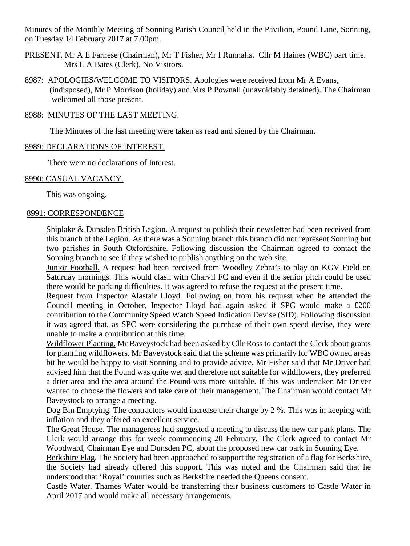Minutes of the Monthly Meeting of Sonning Parish Council held in the Pavilion, Pound Lane, Sonning, on Tuesday 14 February 2017 at 7.00pm.

- PRESENT. Mr A E Farnese (Chairman), Mr T Fisher, Mr I Runnalls. Cllr M Haines (WBC) part time. Mrs L A Bates (Clerk). No Visitors.
- 8987: APOLOGIES/WELCOME TO VISITORS. Apologies were received from Mr A Evans, (indisposed), Mr P Morrison (holiday) and Mrs P Pownall (unavoidably detained). The Chairman welcomed all those present.

## 8988: MINUTES OF THE LAST MEETING.

The Minutes of the last meeting were taken as read and signed by the Chairman.

#### 8989: DECLARATIONS OF INTEREST.

There were no declarations of Interest.

#### 8990: CASUAL VACANCY.

This was ongoing.

#### 8991: CORRESPONDENCE

Shiplake & Dunsden British Legion. A request to publish their newsletter had been received from this branch of the Legion. As there was a Sonning branch this branch did not represent Sonning but two parishes in South Oxfordshire. Following discussion the Chairman agreed to contact the Sonning branch to see if they wished to publish anything on the web site.

Junior Football. A request had been received from Woodley Zebra's to play on KGV Field on Saturday mornings. This would clash with Charvil FC and even if the senior pitch could be used there would be parking difficulties. It was agreed to refuse the request at the present time.

Request from Inspector Alastair Lloyd. Following on from his request when he attended the Council meeting in October, Inspector Lloyd had again asked if SPC would make a £200 contribution to the Community Speed Watch Speed Indication Devise (SID). Following discussion it was agreed that, as SPC were considering the purchase of their own speed devise, they were unable to make a contribution at this time.

Wildflower Planting. Mr Baveystock had been asked by Cllr Ross to contact the Clerk about grants for planning wildflowers. Mr Baveystock said that the scheme was primarily for WBC owned areas bit he would be happy to visit Sonning and to provide advice. Mr Fisher said that Mr Driver had advised him that the Pound was quite wet and therefore not suitable for wildflowers, they preferred a drier area and the area around the Pound was more suitable. If this was undertaken Mr Driver wanted to choose the flowers and take care of their management. The Chairman would contact Mr Baveystock to arrange a meeting.

Dog Bin Emptying. The contractors would increase their charge by 2 %. This was in keeping with inflation and they offered an excellent service.

The Great House. The manageress had suggested a meeting to discuss the new car park plans. The Clerk would arrange this for week commencing 20 February. The Clerk agreed to contact Mr Woodward, Chairman Eye and Dunsden PC, about the proposed new car park in Sonning Eye.

Berkshire Flag. The Society had been approached to support the registration of a flag for Berkshire, the Society had already offered this support. This was noted and the Chairman said that he understood that 'Royal' counties such as Berkshire needed the Queens consent.

Castle Water. Thames Water would be transferring their business customers to Castle Water in April 2017 and would make all necessary arrangements.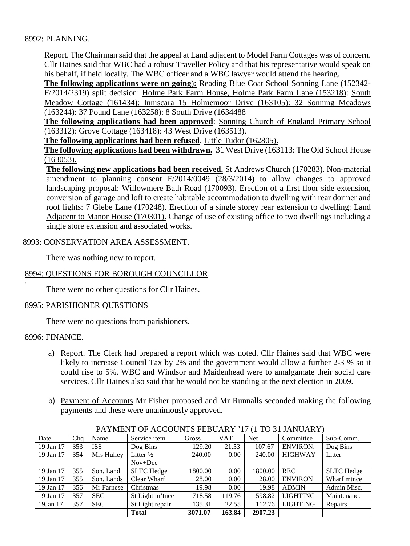## 8992: PLANNING.

Report. The Chairman said that the appeal at Land adjacent to Model Farm Cottages was of concern. Cllr Haines said that WBC had a robust Traveller Policy and that his representative would speak on his behalf, if held locally. The WBC officer and a WBC lawyer would attend the hearing.

**The following applications were on going**)**:** Reading Blue Coat School Sonning Lane (152342- F/2014/2319) split decision: Holme Park Farm House, Holme Park Farm Lane (153218): South Meadow Cottage (161434): Inniscara 15 Holmemoor Drive (163105): 32 Sonning Meadows (163244): 37 Pound Lane (163258): 8 South Drive (1634488

**The following applications had been approved**: Sonning Church of England Primary School (163312): Grove Cottage (163418): 43 West Drive (163513).

**The following applications had been refused**. Little Tudor (162805).

**The following applications had been withdrawn.** 31 West Drive (163113: The Old School House (163053).

**The following new applications had been received.** St Andrews Church (170283). Non-material amendment to planning consent F/2014/0049 (28/3/2014) to allow changes to approved landscaping proposal: Willowmere Bath Road (170093). Erection of a first floor side extension, conversion of garage and loft to create habitable accommodation to dwelling with rear dormer and roof lights: 7 Glebe Lane (170248). Erection of a single storey rear extension to dwelling: Land Adjacent to Manor House (170301). Change of use of existing office to two dwellings including a single store extension and associated works.

## 8993: CONSERVATION AREA ASSESSMENT.

There was nothing new to report.

## 8994: QUESTIONS FOR BOROUGH COUNCILLOR.

There were no other questions for Cllr Haines.

## 8995: PARISHIONER QUESTIONS

There were no questions from parishioners.

## 8996: FINANCE.

.

- a) Report. The Clerk had prepared a report which was noted. Cllr Haines said that WBC were likely to increase Council Tax by 2% and the government would allow a further 2-3 % so it could rise to 5%. WBC and Windsor and Maidenhead were to amalgamate their social care services. Cllr Haines also said that he would not be standing at the next election in 2009.
- b) Payment of Accounts Mr Fisher proposed and Mr Runnalls seconded making the following payments and these were unanimously approved.

| THE MEAN OF ACCOUNTD FEDUCAL THAT TO JETAMOTIKE |     |            |                      |         |            |            |                 |                   |
|-------------------------------------------------|-----|------------|----------------------|---------|------------|------------|-----------------|-------------------|
| Date                                            | Cha | Name       | Service item         | Gross   | <b>VAT</b> | <b>Net</b> | Committee       | Sub-Comm.         |
| 19 Jan 17                                       | 353 | <b>ISS</b> | Dog Bins             | 129.20  | 21.53      | 107.67     | <b>ENVIRON.</b> | Dog Bins          |
| 19 Jan 17                                       | 354 | Mrs Hulley | Litter $\frac{1}{2}$ | 240.00  | 0.00       | 240.00     | <b>HIGHWAY</b>  | Litter            |
|                                                 |     |            | $Nov+Dec$            |         |            |            |                 |                   |
| 19 Jan 17                                       | 355 | Son. Land  | <b>SLTC</b> Hedge    | 1800.00 | 0.00       | 1800.00    | <b>REC</b>      | <b>SLTC</b> Hedge |
| 19 Jan 17                                       | 355 | Son. Lands | Clear Wharf          | 28.00   | 0.00       | 28.00      | <b>ENVIRON</b>  | Wharf mtnce       |
| 19 Jan 17                                       | 356 | Mr Farnese | Christmas            | 19.98   | 0.00       | 19.98      | <b>ADMIN</b>    | Admin Misc.       |
| 19 Jan 17                                       | 357 | <b>SEC</b> | St Light m'tnee      | 718.58  | 119.76     | 598.82     | <b>LIGHTING</b> | Maintenance       |
| 19Jan 17                                        | 357 | <b>SEC</b> | St Light repair      | 135.31  | 22.55      | 112.76     | <b>LIGHTING</b> | Repairs           |
|                                                 |     |            | <b>Total</b>         | 3071.07 | 163.84     | 2907.23    |                 |                   |

PAYMENT OF ACCOUNTS FEBUARY '17 (1 TO 31 JANUARY)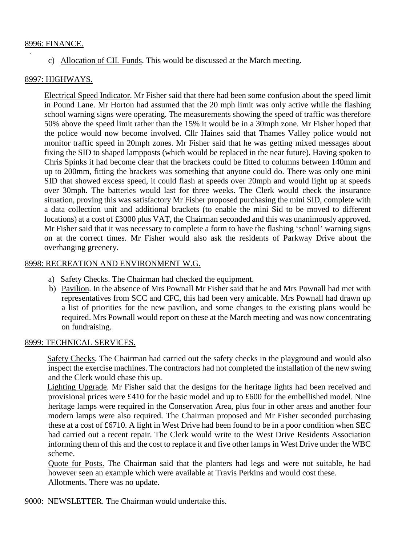#### 8996: FINANCE.

c) Allocation of CIL Funds. This would be discussed at the March meeting.

## 8997: HIGHWAYS.

Electrical Speed Indicator. Mr Fisher said that there had been some confusion about the speed limit in Pound Lane. Mr Horton had assumed that the 20 mph limit was only active while the flashing school warning signs were operating. The measurements showing the speed of traffic was therefore 50% above the speed limit rather than the 15% it would be in a 30mph zone. Mr Fisher hoped that the police would now become involved. Cllr Haines said that Thames Valley police would not monitor traffic speed in 20mph zones. Mr Fisher said that he was getting mixed messages about fixing the SID to shaped lampposts (which would be replaced in the near future). Having spoken to Chris Spinks it had become clear that the brackets could be fitted to columns between 140mm and up to 200mm, fitting the brackets was something that anyone could do. There was only one mini SID that showed excess speed, it could flash at speeds over 20mph and would light up at speeds over 30mph. The batteries would last for three weeks. The Clerk would check the insurance situation, proving this was satisfactory Mr Fisher proposed purchasing the mini SID, complete with a data collection unit and additional brackets (to enable the mini Sid to be moved to different locations) at a cost of £3000 plus VAT, the Chairman seconded and this was unanimously approved. Mr Fisher said that it was necessary to complete a form to have the flashing 'school' warning signs on at the correct times. Mr Fisher would also ask the residents of Parkway Drive about the overhanging greenery.

#### 8998: RECREATION AND ENVIRONMENT W.G.

- a) Safety Checks. The Chairman had checked the equipment.
- b) Pavilion. In the absence of Mrs Pownall Mr Fisher said that he and Mrs Pownall had met with representatives from SCC and CFC, this had been very amicable. Mrs Pownall had drawn up a list of priorities for the new pavilion, and some changes to the existing plans would be required. Mrs Pownall would report on these at the March meeting and was now concentrating on fundraising.

#### 8999: TECHNICAL SERVICES.

 Safety Checks. The Chairman had carried out the safety checks in the playground and would also inspect the exercise machines. The contractors had not completed the installation of the new swing and the Clerk would chase this up.

 Lighting Upgrade. Mr Fisher said that the designs for the heritage lights had been received and provisional prices were £410 for the basic model and up to £600 for the embellished model. Nine heritage lamps were required in the Conservation Area, plus four in other areas and another four modern lamps were also required. The Chairman proposed and Mr Fisher seconded purchasing these at a cost of £6710. A light in West Drive had been found to be in a poor condition when SEC had carried out a recent repair. The Clerk would write to the West Drive Residents Association informing them of this and the cost to replace it and five other lamps in West Drive under the WBC scheme.

Quote for Posts. The Chairman said that the planters had legs and were not suitable, he had however seen an example which were available at Travis Perkins and would cost these. Allotments. There was no update.

9000: NEWSLETTER. The Chairman would undertake this.